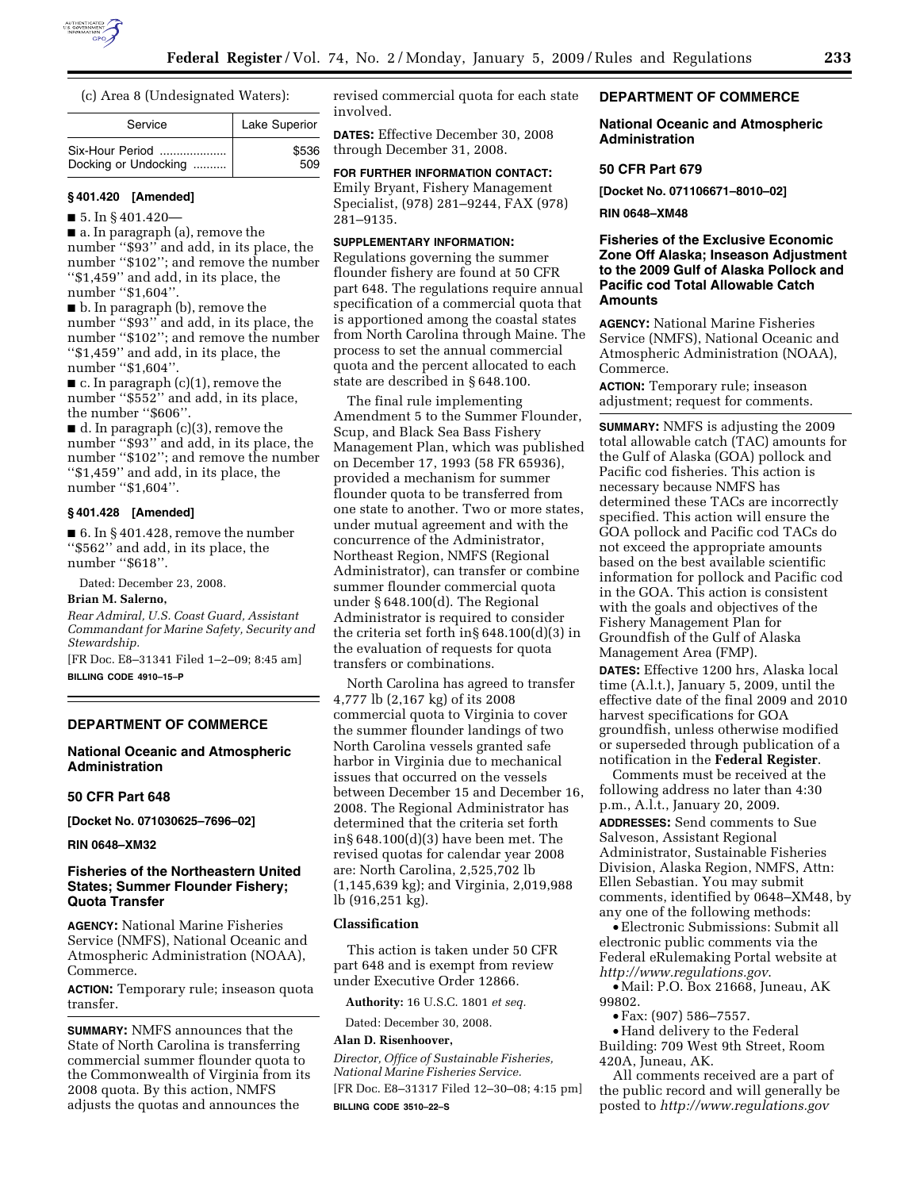

(c) Area 8 (Undesignated Waters):

| Service              | Lake Superior |  |
|----------------------|---------------|--|
| Six-Hour Period      | \$536         |  |
| Docking or Undocking | 509           |  |

# **§ 401.420 [Amended]**

 $\blacksquare$  5. In § 401.420—

■ a. In paragraph (a), remove the number ''\$93'' and add, in its place, the number ''\$102''; and remove the number ''\$1,459'' and add, in its place, the number "\$1,604"

■ b. In paragraph (b), remove the number ''\$93'' and add, in its place, the number ''\$102''; and remove the number ''\$1,459'' and add, in its place, the number ''\$1,604''.

 $\blacksquare$  c. In paragraph (c)(1), remove the number ''\$552'' and add, in its place, the number "\$606".

■ d. In paragraph (c)(3), remove the number ''\$93'' and add, in its place, the number ''\$102''; and remove the number ''\$1,459'' and add, in its place, the number "\$1,604".

# **§ 401.428 [Amended]**

 $\blacksquare$  6. In § 401.428, remove the number ''\$562'' and add, in its place, the number ''\$618''.

Dated: December 23, 2008.

# **Brian M. Salerno,**

*Rear Admiral, U.S. Coast Guard, Assistant Commandant for Marine Safety, Security and Stewardship.* 

[FR Doc. E8–31341 Filed 1–2–09; 8:45 am] **BILLING CODE 4910–15–P** 

#### **DEPARTMENT OF COMMERCE**

# **National Oceanic and Atmospheric Administration**

#### **50 CFR Part 648**

**[Docket No. 071030625–7696–02]** 

#### **RIN 0648–XM32**

## **Fisheries of the Northeastern United States; Summer Flounder Fishery; Quota Transfer**

**AGENCY:** National Marine Fisheries Service (NMFS), National Oceanic and Atmospheric Administration (NOAA), Commerce.

**ACTION:** Temporary rule; inseason quota transfer.

**SUMMARY:** NMFS announces that the State of North Carolina is transferring commercial summer flounder quota to the Commonwealth of Virginia from its 2008 quota. By this action, NMFS adjusts the quotas and announces the

revised commercial quota for each state involved.

**DATES:** Effective December 30, 2008 through December 31, 2008.

**FOR FURTHER INFORMATION CONTACT:**  Emily Bryant, Fishery Management

Specialist, (978) 281–9244, FAX (978) 281–9135.

# **SUPPLEMENTARY INFORMATION:**

Regulations governing the summer flounder fishery are found at 50 CFR part 648. The regulations require annual specification of a commercial quota that is apportioned among the coastal states from North Carolina through Maine. The process to set the annual commercial quota and the percent allocated to each state are described in § 648.100.

The final rule implementing Amendment 5 to the Summer Flounder, Scup, and Black Sea Bass Fishery Management Plan, which was published on December 17, 1993 (58 FR 65936), provided a mechanism for summer flounder quota to be transferred from one state to another. Two or more states, under mutual agreement and with the concurrence of the Administrator, Northeast Region, NMFS (Regional Administrator), can transfer or combine summer flounder commercial quota under § 648.100(d). The Regional Administrator is required to consider the criteria set forth in§ 648.100(d)(3) in the evaluation of requests for quota transfers or combinations.

North Carolina has agreed to transfer 4,777 lb (2,167 kg) of its 2008 commercial quota to Virginia to cover the summer flounder landings of two North Carolina vessels granted safe harbor in Virginia due to mechanical issues that occurred on the vessels between December 15 and December 16, 2008. The Regional Administrator has determined that the criteria set forth in§ 648.100(d)(3) have been met. The revised quotas for calendar year 2008 are: North Carolina, 2,525,702 lb (1,145,639 kg); and Virginia, 2,019,988 lb (916,251 kg).

# **Classification**

This action is taken under 50 CFR part 648 and is exempt from review under Executive Order 12866.

**Authority:** 16 U.S.C. 1801 *et seq.* 

Dated: December 30, 2008.

## **Alan D. Risenhoover,**

*Director, Office of Sustainable Fisheries, National Marine Fisheries Service.*  [FR Doc. E8–31317 Filed 12–30–08; 4:15 pm] **BILLING CODE 3510–22–S** 

# **DEPARTMENT OF COMMERCE**

## **National Oceanic and Atmospheric Administration**

#### **50 CFR Part 679**

**[Docket No. 071106671–8010–02]** 

**RIN 0648–XM48** 

# **Fisheries of the Exclusive Economic Zone Off Alaska; Inseason Adjustment to the 2009 Gulf of Alaska Pollock and Pacific cod Total Allowable Catch Amounts**

**AGENCY:** National Marine Fisheries Service (NMFS), National Oceanic and Atmospheric Administration (NOAA), Commerce.

**ACTION:** Temporary rule; inseason adjustment; request for comments.

**SUMMARY:** NMFS is adjusting the 2009 total allowable catch (TAC) amounts for the Gulf of Alaska (GOA) pollock and Pacific cod fisheries. This action is necessary because NMFS has determined these TACs are incorrectly specified. This action will ensure the GOA pollock and Pacific cod TACs do not exceed the appropriate amounts based on the best available scientific information for pollock and Pacific cod in the GOA. This action is consistent with the goals and objectives of the Fishery Management Plan for Groundfish of the Gulf of Alaska Management Area (FMP).

**DATES:** Effective 1200 hrs, Alaska local time (A.l.t.), January 5, 2009, until the effective date of the final 2009 and 2010 harvest specifications for GOA groundfish, unless otherwise modified or superseded through publication of a notification in the **Federal Register**.

Comments must be received at the following address no later than 4:30 p.m., A.l.t., January 20, 2009.

**ADDRESSES:** Send comments to Sue Salveson, Assistant Regional Administrator, Sustainable Fisheries Division, Alaska Region, NMFS, Attn: Ellen Sebastian. You may submit comments, identified by 0648–XM48, by any one of the following methods:

• Electronic Submissions: Submit all electronic public comments via the Federal eRulemaking Portal website at *http://www.regulations.gov*.

• Mail: P.O. Box 21668, Juneau, AK 99802.

• Fax: (907) 586–7557.

• Hand delivery to the Federal Building: 709 West 9th Street, Room 420A, Juneau, AK.

All comments received are a part of the public record and will generally be posted to *http://www.regulations.gov*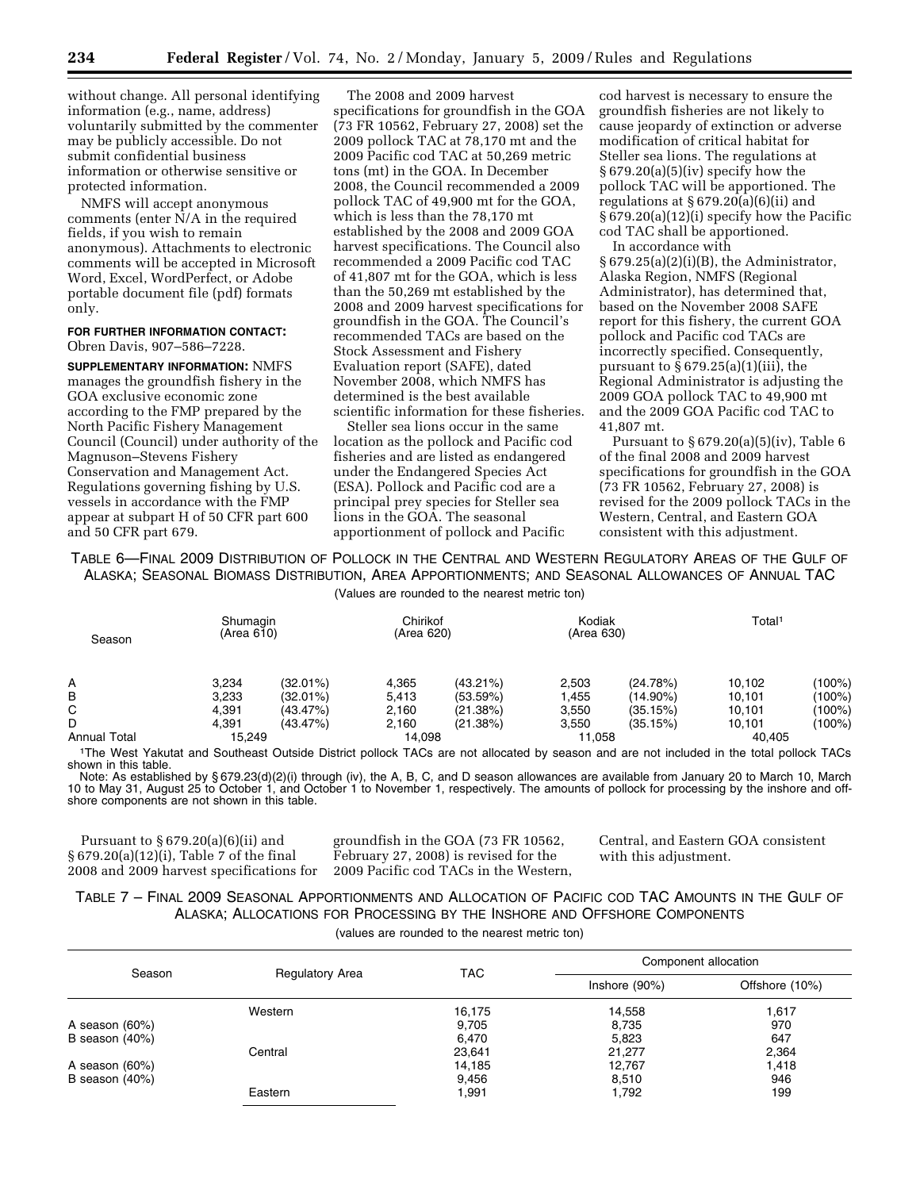without change. All personal identifying information (e.g., name, address) voluntarily submitted by the commenter may be publicly accessible. Do not submit confidential business information or otherwise sensitive or protected information.

NMFS will accept anonymous comments (enter N/A in the required fields, if you wish to remain anonymous). Attachments to electronic comments will be accepted in Microsoft Word, Excel, WordPerfect, or Adobe portable document file (pdf) formats only.

#### **FOR FURTHER INFORMATION CONTACT:**  Obren Davis, 907–586–7228.

**SUPPLEMENTARY INFORMATION:** NMFS manages the groundfish fishery in the GOA exclusive economic zone according to the FMP prepared by the North Pacific Fishery Management Council (Council) under authority of the Magnuson–Stevens Fishery Conservation and Management Act. Regulations governing fishing by U.S. vessels in accordance with the FMP appear at subpart H of 50 CFR part 600 and 50 CFR part 679.

The 2008 and 2009 harvest specifications for groundfish in the GOA (73 FR 10562, February 27, 2008) set the 2009 pollock TAC at 78,170 mt and the 2009 Pacific cod TAC at 50,269 metric tons (mt) in the GOA. In December 2008, the Council recommended a 2009 pollock TAC of 49,900 mt for the GOA, which is less than the 78,170 mt established by the 2008 and 2009 GOA harvest specifications. The Council also recommended a 2009 Pacific cod TAC of 41,807 mt for the GOA, which is less than the 50,269 mt established by the 2008 and 2009 harvest specifications for groundfish in the GOA. The Council's recommended TACs are based on the Stock Assessment and Fishery Evaluation report (SAFE), dated November 2008, which NMFS has determined is the best available scientific information for these fisheries.

Steller sea lions occur in the same location as the pollock and Pacific cod fisheries and are listed as endangered under the Endangered Species Act (ESA). Pollock and Pacific cod are a principal prey species for Steller sea lions in the GOA. The seasonal apportionment of pollock and Pacific

cod harvest is necessary to ensure the groundfish fisheries are not likely to cause jeopardy of extinction or adverse modification of critical habitat for Steller sea lions. The regulations at  $§ 679.20(a)(5)(iv)$  specify how the pollock TAC will be apportioned. The regulations at  $\S 679.20(a)(6)(ii)$  and § 679.20(a)(12)(i) specify how the Pacific cod TAC shall be apportioned.

In accordance with  $§ 679.25(a)(2)(i)(B)$ , the Administrator, Alaska Region, NMFS (Regional Administrator), has determined that, based on the November 2008 SAFE report for this fishery, the current GOA pollock and Pacific cod TACs are incorrectly specified. Consequently, pursuant to  $\S 679.25(a)(1)(iii)$ , the Regional Administrator is adjusting the 2009 GOA pollock TAC to 49,900 mt and the 2009 GOA Pacific cod TAC to 41,807 mt.

Pursuant to  $§ 679.20(a)(5)(iv)$ , Table 6 of the final 2008 and 2009 harvest specifications for groundfish in the GOA (73 FR 10562, February 27, 2008) is revised for the 2009 pollock TACs in the Western, Central, and Eastern GOA consistent with this adjustment.

TABLE 6—FINAL 2009 DISTRIBUTION OF POLLOCK IN THE CENTRAL AND WESTERN REGULATORY AREAS OF THE GULF OF ALASKA; SEASONAL BIOMASS DISTRIBUTION, AREA APPORTIONMENTS; AND SEASONAL ALLOWANCES OF ANNUAL TAC

(Values are rounded to the nearest metric ton)

| Season              | Shumagin<br>(Area 610) |             | Chirikof<br>(Area 620) |             | Kodiak<br>(Area 630) |             | Total <sup>1</sup> |           |
|---------------------|------------------------|-------------|------------------------|-------------|----------------------|-------------|--------------------|-----------|
| А                   | 3,234                  | $(32.01\%)$ | 4,365                  | $(43.21\%)$ | 2,503                | (24.78%)    | 10.102             | (100%)    |
| B                   | 3,233                  | $(32.01\%)$ | 5,413                  | (53.59%)    | 1,455                | $(14.90\%)$ | 10,101             | $(100\%)$ |
| C                   | 4,391                  | (43.47%)    | 2,160                  | (21.38%)    | 3,550                | (35.15%)    | 10.101             | (100%)    |
| D                   | 4.391                  | $(43.47\%)$ | 2,160                  | (21.38%)    | 3,550                | (35.15%)    | 10.101             | $(100\%)$ |
| <b>Annual Total</b> | 15.249                 |             | 14.098                 |             | 11.058               |             | 40.405             |           |

1The West Yakutat and Southeast Outside District pollock TACs are not allocated by season and are not included in the total pollock TACs shown in this table.

Note: As established by § 679.23(d)(2)(i) through (iv), the A, B, C, and D season allowances are available from January 20 to March 10, March 10 to May 31, August 25 to October 1, and October 1 to November 1, respectively. The amounts of pollock for processing by the inshore and offshore components are not shown in this table.

Pursuant to  $§ 679.20(a)(6)(ii)$  and § 679.20(a)(12)(i), Table 7 of the final 2008 and 2009 harvest specifications for

groundfish in the GOA (73 FR 10562, February 27, 2008) is revised for the 2009 Pacific cod TACs in the Western, Central, and Eastern GOA consistent with this adjustment.

# TABLE 7 – FINAL 2009 SEASONAL APPORTIONMENTS AND ALLOCATION OF PACIFIC COD TAC AMOUNTS IN THE GULF OF ALASKA; ALLOCATIONS FOR PROCESSING BY THE INSHORE AND OFFSHORE COMPONENTS

(values are rounded to the nearest metric ton)

| Season           | <b>Regulatory Area</b> | <b>TAC</b> | Component allocation |                |  |
|------------------|------------------------|------------|----------------------|----------------|--|
|                  |                        |            | Inshore $(90%)$      | Offshore (10%) |  |
|                  | Western                | 16,175     | 14,558               | 1,617          |  |
| A season (60%)   |                        | 9,705      | 8,735                | 970            |  |
| B season $(40%)$ |                        | 6,470      | 5,823                | 647            |  |
|                  | Central                | 23,641     | 21,277               | 2,364          |  |
| A season (60%)   |                        | 14,185     | 12,767               | 1,418          |  |
| B season $(40%)$ |                        | 9,456      | 8,510                | 946            |  |
|                  | Eastern                | 1,991      | 1,792                | 199            |  |